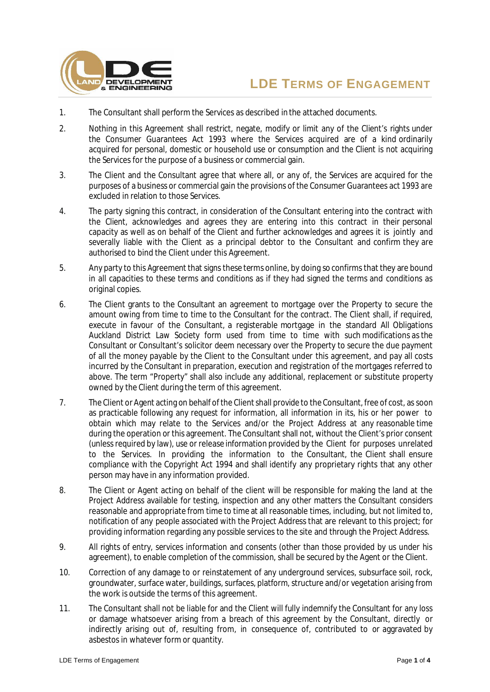



- 1. The Consultant shall perform the Services as described in the attached documents.
- 2. Nothing in this Agreement shall restrict, negate, modify or limit any of the Client's rights under the Consumer Guarantees Act 1993 where the Services acquired are of a kind ordinarily acquired for personal, domestic or household use or consumption and the Client is not acquiring the Services for the purpose of a business or commercial gain.
- 3. The Client and the Consultant agree that where all, or any of, the Services are acquired for the purposes of a business or commercial gain the provisions of the Consumer Guarantees act 1993 are excluded in relation to those Services.
- 4. The party signing this contract, in consideration of the Consultant entering into the contract with the Client, acknowledges and agrees they are entering into this contract in their personal capacity as well as on behalf of the Client and further acknowledges and agrees it is jointly and severally liable with the Client as a principal debtor to the Consultant and confirm they are authorised to bind the Client under this Agreement.
- 5. Any party to this Agreement that signs these terms online, by doing so confirms that they are bound in all capacities to these terms and conditions as if they had signed the terms and conditions as original copies.
- 6. The Client grants to the Consultant an agreement to mortgage over the Property to secure the amount owing from time to time to the Consultant for the contract. The Client shall, if required, execute in favour of the Consultant, a registerable mortgage in the standard All Obligations Auckland District Law Society form used from time to time with such modifications as the Consultant or Consultant's solicitor deem necessary over the Property to secure the due payment of all the money payable by the Client to the Consultant under this agreement, and pay all costs incurred by the Consultant in preparation, execution and registration of the mortgages referred to above. The term "Property" shall also include any additional, replacement or substitute property owned by the Client during the term of this agreement.
- 7. The Client or Agent acting on behalf of the Client shall provide to the Consultant, free of cost, as soon as practicable following any request for information, all information in its, his or her power to obtain which may relate to the Services and/or the Project Address at any reasonable time during the operation or this agreement. The Consultant shall not, without the Client's prior consent (unless required by law), use or release information provided by the Client for purposes unrelated to the Services. In providing the information to the Consultant, the Client shall ensure compliance with the Copyright Act 1994 and shall identify any proprietary rights that any other person may have in any information provided.
- 8. The Client or Agent acting on behalf of the client will be responsible for making the land at the Project Address available for testing, inspection and any other matters the Consultant considers reasonable and appropriate from time to time at all reasonable times, including, but not limited to, notification of any people associated with the Project Address that are relevant to this project; for providing information regarding any possible services to the site and through the Project Address.
- 9. All rights of entry, services information and consents (other than those provided by us under his agreement), to enable completion of the commission, shall be secured by the Agent or the Client.
- 10. Correction of any damage to or reinstatement of any underground services, subsurface soil, rock, groundwater, surface water, buildings, surfaces, platform, structure and/or vegetation arising from the work is outside the terms of this agreement.
- 11. The Consultant shall not be liable for and the Client will fully indemnify the Consultant for any loss or damage whatsoever arising from a breach of this agreement by the Consultant, directly or indirectly arising out of, resulting from, in consequence of, contributed to or aggravated by asbestos in whatever form or quantity.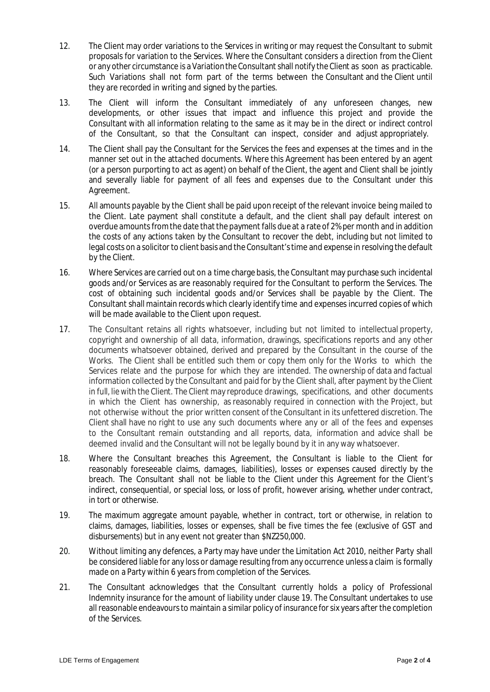- 12. The Client may order variations to the Services in writing or may request the Consultant to submit proposals for variation to the Services. Where the Consultant considers a direction from the Client or any other circumstance is a Variation the Consultant shall notify the Client as soon as practicable. Such Variations shall not form part of the terms between the Consultant and the Client until they are recorded in writing and signed by the parties.
- 13. The Client will inform the Consultant immediately of any unforeseen changes, new developments, or other issues that impact and influence this project and provide the Consultant with all information relating to the same as it may be in the direct or indirect control of the Consultant, so that the Consultant can inspect, consider and adjust appropriately.
- 14. The Client shall pay the Consultant for the Services the fees and expenses at the times and in the manner set out in the attached documents. Where this Agreement has been entered by an agent (or a person purporting to act as agent) on behalf of the Client, the agent and Client shall be jointly and severally liable for payment of all fees and expenses due to the Consultant under this Agreement.
- 15. All amounts payable by the Client shall be paid upon receipt of the relevant invoice being mailed to the Client. Late payment shall constitute a default, and the client shall pay default interest on overdue amounts from the date that the payment falls due at a rate of 2% per month and in addition the costs of any actions taken by the Consultant to recover the debt, including but not limited to legal costs on a solicitor to client basis and the Consultant's time and expense in resolving the default by the Client.
- 16. Where Services are carried out on a time charge basis, the Consultant may purchase such incidental goods and/or Services as are reasonably required for the Consultant to perform the Services. The cost of obtaining such incidental goods and/or Services shall be payable by the Client. The Consultant shall maintain records which clearly identify time and expenses incurred copies of which will be made available to the Client upon request.
- 17. The Consultant retains all rights whatsoever, including but not limited to intellectual property, copyright and ownership of all data, information, drawings, specifications reports and any other documents whatsoever obtained, derived and prepared by the Consultant in the course of the Works. The Client shall be entitled such them or copy them only for the Works to which the Services relate and the purpose for which they are intended. The ownership of data and factual information collected by the Consultant and paid for by the Client shall, after payment by the Client in full, lie with the Client. The Client may reproduce drawings, specifications, and other documents in which the Client has ownership, as reasonably required in connection with the Project, but not otherwise without the prior written consent of the Consultant in its unfettered discretion. The Client shall have no right to use any such documents where any or all of the fees and expenses to the Consultant remain outstanding and all reports, data, information and advice shall be deemed invalid and the Consultant will not be legally bound by it in any way whatsoever.
- 18. Where the Consultant breaches this Agreement, the Consultant is liable to the Client for reasonably foreseeable claims, damages, liabilities), losses or expenses caused directly by the breach. The Consultant shall not be liable to the Client under this Agreement for the Client's indirect, consequential, or special loss, or loss of profit, however arising, whether under contract, in tort or otherwise.
- 19. The maximum aggregate amount payable, whether in contract, tort or otherwise, in relation to claims, damages, liabilities, losses or expenses, shall be five times the fee (exclusive of GST and disbursements) but in any event not greater than \$NZ250,000.
- 20. Without limiting any defences, a Party may have under the Limitation Act 2010, neither Party shall be considered liable for any loss or damage resulting from any occurrence unless a claim is formally made on a Party within 6 years from completion of the Services.
- 21. The Consultant acknowledges that the Consultant currently holds a policy of Professional Indemnity insurance for the amount of liability under clause 19. The Consultant undertakes to use all reasonable endeavours to maintain a similar policy of insurance for six years after the completion of the Services.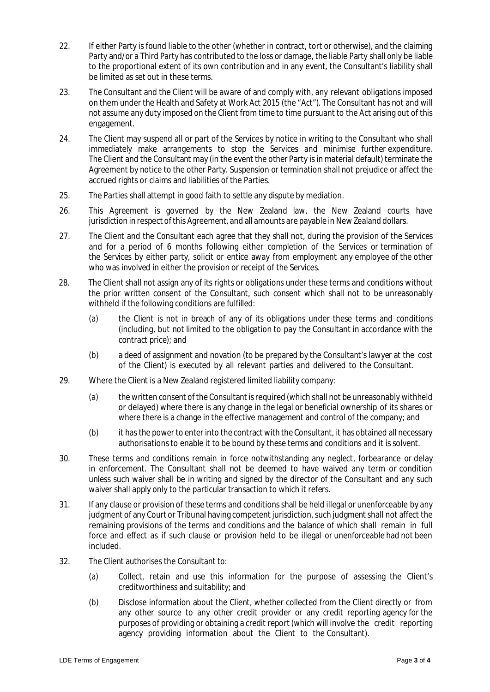- 22. If either Party is found liable to the other (whether in contract, tort or otherwise), and the claiming Party and/or a Third Party has contributed to the loss or damage, the liable Party shall only be liable to the proportional extent of its own contribution and in any event, the Consultant's liability shall be limited as set out in these terms.
- 23. The Consultant and the Client will be aware of and comply with, any relevant obligations imposed on them under the Health and Safety at Work Act 2015 (the "Act"). The Consultant has not and will not assume any duty imposed on the Client from time to time pursuant to the Act arising out of this engagement.
- 24. The Client may suspend all or part of the Services by notice in writing to the Consultant who shall immediately make arrangements to stop the Services and minimise further expenditure. The Client and the Consultant may (in the event the other Party is in material default) terminate the Agreement by notice to the other Party. Suspension or termination shall not prejudice or affect the accrued rights or claims and liabilities of the Parties.
- 25. The Parties shall attempt in good faith to settle any dispute by mediation.
- 26. This Agreement is governed by the New Zealand law, the New Zealand courts have jurisdiction in respect of this Agreement, and all amounts are payable in New Zealand dollars.
- 27. The Client and the Consultant each agree that they shall not, during the provision of the Services and for a period of 6 months following either completion of the Services or termination of the Services by either party, solicit or entice away from employment any employee of the other who was involved in either the provision or receipt of the Services.
- 28. The Client shall not assign any of its rights or obligations under these terms and conditions without the prior written consent of the Consultant, such consent which shall not to be unreasonably withheld if the following conditions are fulfilled:
	- (a) the Client is not in breach of any of its obligations under these terms and conditions (including, but not limited to the obligation to pay the Consultant in accordance with the contract price); and
	- (b) a deed of assignment and novation (to be prepared by the Consultant's lawyer at the cost of the Client) is executed by all relevant parties and delivered to the Consultant.
- 29. Where the Client is a New Zealand registered limited liability company:
	- (a) the written consent of the Consultant is required (which shall not be unreasonably withheld or delayed) where there is any change in the legal or beneficial ownership of its shares or where there is a change in the effective management and control of the company; and
	- (b) it has the power to enter into the contract with the Consultant, it has obtained all necessary authorisations to enable it to be bound by these terms and conditions and it is solvent.
- 30. These terms and conditions remain in force notwithstanding any neglect, forbearance or delay in enforcement. The Consultant shall not be deemed to have waived any term or condition unless such waiver shall be in writing and signed by the director of the Consultant and any such waiver shall apply only to the particular transaction to which it refers.
- 31. If any clause or provision of these terms and conditions shall be held illegal or unenforceable by any judgment of any Court or Tribunal having competent jurisdiction, such judgment shall not affect the remaining provisions of the terms and conditions and the balance of which shall remain in full force and effect as if such clause or provision held to be illegal or unenforceable had not been included.
- 32. The Client authorises the Consultant to:
	- (a) Collect, retain and use this information for the purpose of assessing the Client's creditworthiness and suitability; and
	- (b) Disclose information about the Client, whether collected from the Client directly or from any other source to any other credit provider or any credit reporting agency for the purposes of providing or obtaining a credit report (which will involve the credit reporting agency providing information about the Client to the Consultant).